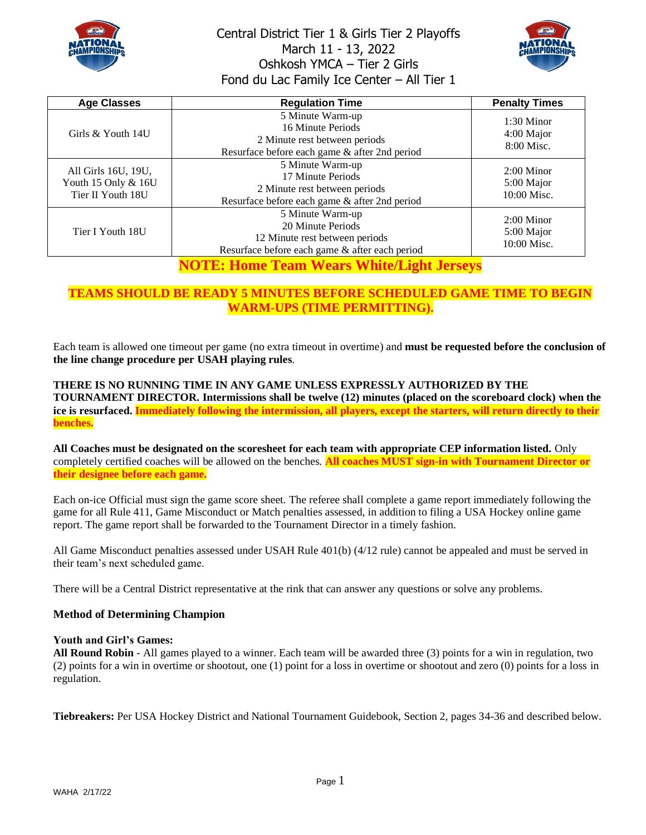



| <b>Age Classes</b>                                              | <b>Regulation Time</b>                                                                                                    | <b>Penalty Times</b>                      |
|-----------------------------------------------------------------|---------------------------------------------------------------------------------------------------------------------------|-------------------------------------------|
| Girls & Youth 14U                                               | 5 Minute Warm-up<br>16 Minute Periods<br>2 Minute rest between periods<br>Resurface before each game & after 2nd period   | $1:30$ Minor<br>4:00 Major<br>8:00 Misc.  |
| All Girls 16U, 19U,<br>Youth 15 Only & 16U<br>Tier II Youth 18U | 5 Minute Warm-up<br>17 Minute Periods<br>2 Minute rest between periods<br>Resurface before each game & after 2nd period   | $2:00$ Minor<br>5:00 Major<br>10:00 Misc. |
| Tier I Youth 18U                                                | 5 Minute Warm-up<br>20 Minute Periods<br>12 Minute rest between periods<br>Resurface before each game & after each period | $2:00$ Minor<br>5:00 Major<br>10:00 Misc. |
|                                                                 | <b>NOTE: Home Team Wears White/Light Jerseys</b>                                                                          |                                           |

## **TEAMS SHOULD BE READY 5 MINUTES BEFORE SCHEDULED GAME TIME TO BEGIN WARM-UPS (TIME PERMITTING).**

Each team is allowed one timeout per game (no extra timeout in overtime) and **must be requested before the conclusion of the line change procedure per USAH playing rules**.

**THERE IS NO RUNNING TIME IN ANY GAME UNLESS EXPRESSLY AUTHORIZED BY THE TOURNAMENT DIRECTOR. Intermissions shall be twelve (12) minutes (placed on the scoreboard clock) when the ice is resurfaced. Immediately following the intermission, all players, except the starters, will return directly to their benches.**

**All Coaches must be designated on the scoresheet for each team with appropriate CEP information listed.** Only completely certified coaches will be allowed on the benches. **All coaches MUST sign-in with Tournament Director or their designee before each game.**

Each on-ice Official must sign the game score sheet. The referee shall complete a game report immediately following the game for all Rule 411, Game Misconduct or Match penalties assessed, in addition to filing a USA Hockey online game report. The game report shall be forwarded to the Tournament Director in a timely fashion.

All Game Misconduct penalties assessed under USAH Rule 401(b) (4/12 rule) cannot be appealed and must be served in their team's next scheduled game.

There will be a Central District representative at the rink that can answer any questions or solve any problems.

#### **Method of Determining Champion**

#### **Youth and Girl's Games:**

**All Round Robin** - All games played to a winner. Each team will be awarded three (3) points for a win in regulation, two (2) points for a win in overtime or shootout, one (1) point for a loss in overtime or shootout and zero (0) points for a loss in regulation.

**Tiebreakers:** Per USA Hockey District and National Tournament Guidebook, Section 2, pages 34-36 and described below.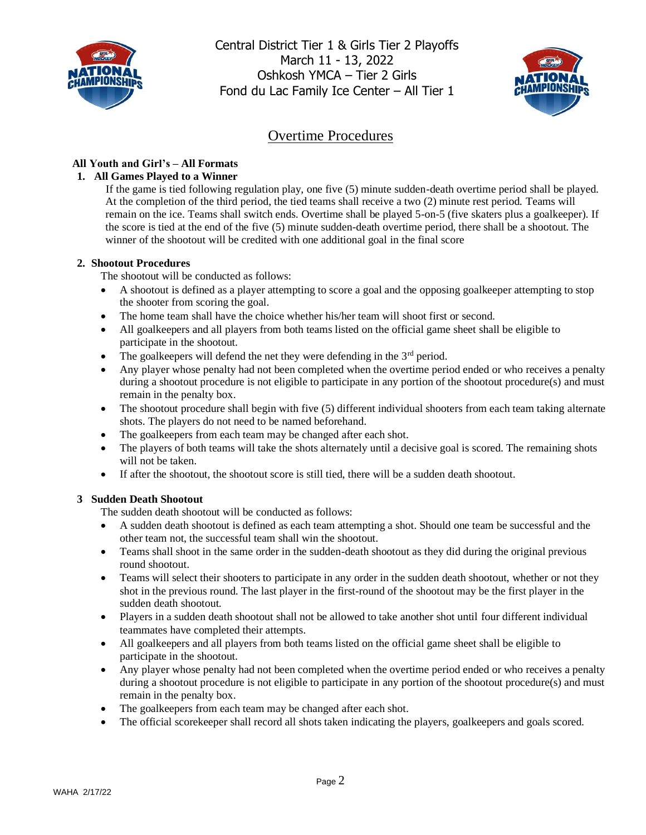



# Overtime Procedures

## **All Youth and Girl's – All Formats**

### **1. All Games Played to a Winner**

If the game is tied following regulation play, one five (5) minute sudden-death overtime period shall be played. At the completion of the third period, the tied teams shall receive a two (2) minute rest period. Teams will remain on the ice. Teams shall switch ends. Overtime shall be played 5-on-5 (five skaters plus a goalkeeper). If the score is tied at the end of the five (5) minute sudden-death overtime period, there shall be a shootout. The winner of the shootout will be credited with one additional goal in the final score

#### **2. Shootout Procedures**

The shootout will be conducted as follows:

- A shootout is defined as a player attempting to score a goal and the opposing goalkeeper attempting to stop the shooter from scoring the goal.
- The home team shall have the choice whether his/her team will shoot first or second.
- All goalkeepers and all players from both teams listed on the official game sheet shall be eligible to participate in the shootout.
- The goalkeepers will defend the net they were defending in the  $3<sup>rd</sup>$  period.
- Any player whose penalty had not been completed when the overtime period ended or who receives a penalty during a shootout procedure is not eligible to participate in any portion of the shootout procedure(s) and must remain in the penalty box.
- The shootout procedure shall begin with five (5) different individual shooters from each team taking alternate shots. The players do not need to be named beforehand.
- The goalkeepers from each team may be changed after each shot.
- The players of both teams will take the shots alternately until a decisive goal is scored. The remaining shots will not be taken.
- If after the shootout, the shootout score is still tied, there will be a sudden death shootout.

### **3 Sudden Death Shootout**

The sudden death shootout will be conducted as follows:

- A sudden death shootout is defined as each team attempting a shot. Should one team be successful and the other team not, the successful team shall win the shootout.
- Teams shall shoot in the same order in the sudden-death shootout as they did during the original previous round shootout.
- Teams will select their shooters to participate in any order in the sudden death shootout, whether or not they shot in the previous round. The last player in the first-round of the shootout may be the first player in the sudden death shootout.
- Players in a sudden death shootout shall not be allowed to take another shot until four different individual teammates have completed their attempts.
- All goalkeepers and all players from both teams listed on the official game sheet shall be eligible to participate in the shootout.
- Any player whose penalty had not been completed when the overtime period ended or who receives a penalty during a shootout procedure is not eligible to participate in any portion of the shootout procedure(s) and must remain in the penalty box.
- The goalkeepers from each team may be changed after each shot.
- The official scorekeeper shall record all shots taken indicating the players, goalkeepers and goals scored.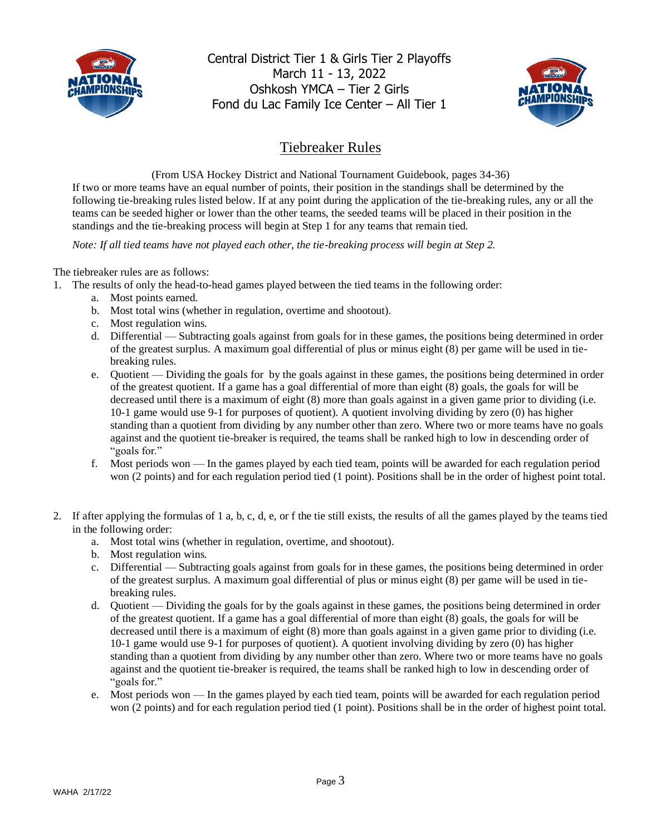



# Tiebreaker Rules

(From USA Hockey District and National Tournament Guidebook, pages 34-36) If two or more teams have an equal number of points, their position in the standings shall be determined by the following tie-breaking rules listed below. If at any point during the application of the tie-breaking rules, any or all the teams can be seeded higher or lower than the other teams, the seeded teams will be placed in their position in the standings and the tie-breaking process will begin at Step 1 for any teams that remain tied.

*Note: If all tied teams have not played each other, the tie-breaking process will begin at Step 2.* 

The tiebreaker rules are as follows:

- 1. The results of only the head-to-head games played between the tied teams in the following order:
	- a. Most points earned.
	- b. Most total wins (whether in regulation, overtime and shootout).
	- c. Most regulation wins.
	- d. Differential Subtracting goals against from goals for in these games, the positions being determined in order of the greatest surplus. A maximum goal differential of plus or minus eight (8) per game will be used in tiebreaking rules.
	- e. Quotient Dividing the goals for by the goals against in these games, the positions being determined in order of the greatest quotient. If a game has a goal differential of more than eight (8) goals, the goals for will be decreased until there is a maximum of eight (8) more than goals against in a given game prior to dividing (i.e. 10-1 game would use 9-1 for purposes of quotient). A quotient involving dividing by zero (0) has higher standing than a quotient from dividing by any number other than zero. Where two or more teams have no goals against and the quotient tie-breaker is required, the teams shall be ranked high to low in descending order of "goals for."
	- f. Most periods won In the games played by each tied team, points will be awarded for each regulation period won (2 points) and for each regulation period tied (1 point). Positions shall be in the order of highest point total.
- 2. If after applying the formulas of 1 a, b, c, d, e, or f the tie still exists, the results of all the games played by the teams tied in the following order:
	- a. Most total wins (whether in regulation, overtime, and shootout).
	- b. Most regulation wins.
	- c. Differential Subtracting goals against from goals for in these games, the positions being determined in order of the greatest surplus. A maximum goal differential of plus or minus eight (8) per game will be used in tiebreaking rules.
	- d. Quotient Dividing the goals for by the goals against in these games, the positions being determined in order of the greatest quotient. If a game has a goal differential of more than eight (8) goals, the goals for will be decreased until there is a maximum of eight (8) more than goals against in a given game prior to dividing (i.e. 10-1 game would use 9-1 for purposes of quotient). A quotient involving dividing by zero (0) has higher standing than a quotient from dividing by any number other than zero. Where two or more teams have no goals against and the quotient tie-breaker is required, the teams shall be ranked high to low in descending order of "goals for."
	- e. Most periods won In the games played by each tied team, points will be awarded for each regulation period won (2 points) and for each regulation period tied (1 point). Positions shall be in the order of highest point total.